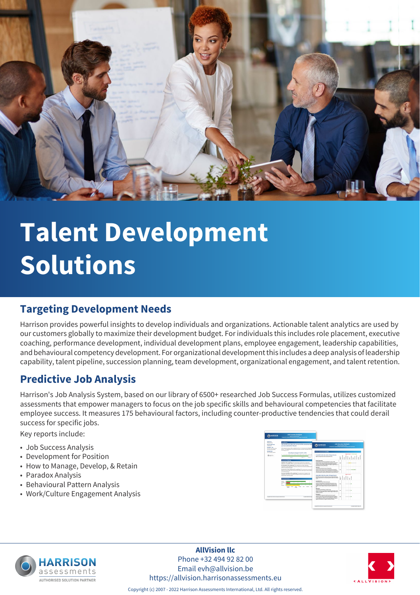

# **Talent Development Solutions**

# **Targeting Development Needs**

Harrison provides powerful insights to develop individuals and organizations. Actionable talent analytics are used by our customers globally to maximize their development budget. For individuals this includes role placement, executive coaching, performance development, individual development plans, employee engagement, leadership capabilities, and behavioural competency development. For organizational development this includes a deep analysis of leadership capability, talent pipeline, succession planning, team development, organizational engagement, and talent retention.

# **Predictive Job Analysis**

Harrison's Job Analysis System, based on our library of 6500+ researched Job Success Formulas, utilizes customized assessments that empower managers to focus on the job specific skills and behavioural competencies that facilitate employee success. It measures 175 behavioural factors, including counter-productive tendencies that could derail success for specific jobs.

Key reports include:

- Job Success Analysis
- Development for Position
- How to Manage, Develop, & Retain
- Paradox Analysis
- Behavioural Pattern Analysis
- Work/Culture Engagement Analysis





**AllVision llc** Phone +32 494 92 82 00 Email evh@allvision.be https://allvision.harrisonassessments.eu



Copyright (c) 2007 - 2022 Harrison Assessments International, Ltd. All rights reserved.